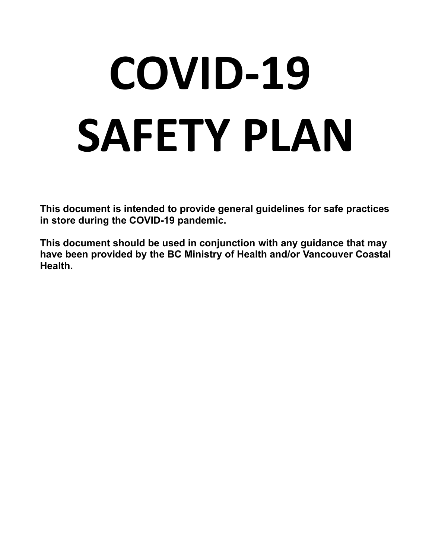# **COVID-19 SAFETY PLAN**

**This document is intended to provide general guidelines for safe practices in store during the COVID-19 pandemic.**

**This document should be used in conjunction with any guidance that may have been provided by the BC Ministry of Health and/or Vancouver Coastal Health.**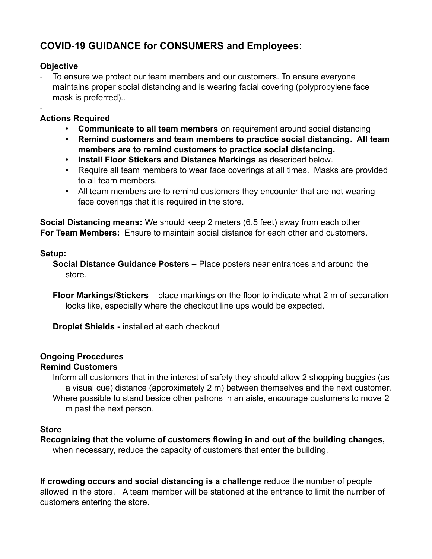# **COVID-19 GUIDANCE for CONSUMERS and Employees:**

# **Objective**

-

To ensure we protect our team members and our customers. To ensure everyone maintains proper social distancing and is wearing facial covering (polypropylene face mask is preferred)..

# **Actions Required**

- **Communicate to all team members** on requirement around social distancing
- **Remind customers and team members to practice social distancing. All team members are to remind customers to practice social distancing.**
- **Install Floor Stickers and Distance Markings** as described below.
- Require all team members to wear face coverings at all times. Masks are provided to all team members.
- All team members are to remind customers they encounter that are not wearing face coverings that it is required in the store.

**Social Distancing means:** We should keep 2 meters (6.5 feet) away from each other **For Team Members:** Ensure to maintain social distance for each other and customers.

# **Setup:**

**Social Distance Guidance Posters –** Place posters near entrances and around the store.

**Floor Markings/Stickers** – place markings on the floor to indicate what 2 m of separation looks like, especially where the checkout line ups would be expected.

**Droplet Shields -** installed at each checkout

# **Ongoing Procedures**

# **Remind Customers**

Inform all customers that in the interest of safety they should allow 2 shopping buggies (as a visual cue) distance (approximately 2 m) between themselves and the next customer. Where possible to stand beside other patrons in an aisle, encourage customers to move 2 m past the next person.

# **Store**

**Recognizing that the volume of customers flowing in and out of the building changes,** when necessary, reduce the capacity of customers that enter the building.

**If crowding occurs and social distancing is a challenge** reduce the number of people allowed in the store. A team member will be stationed at the entrance to limit the number of customers entering the store.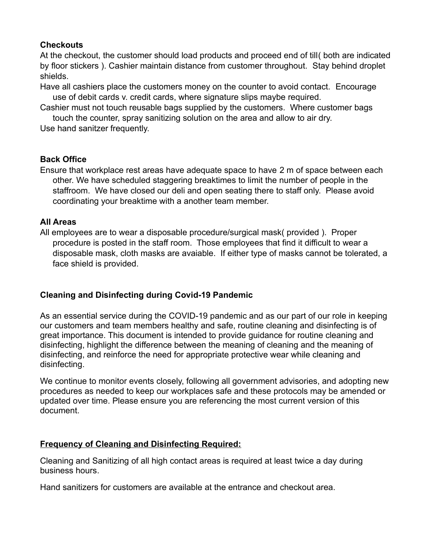# **Checkouts**

At the checkout, the customer should load products and proceed end of till( both are indicated by floor stickers ). Cashier maintain distance from customer throughout. Stay behind droplet shields.

Have all cashiers place the customers money on the counter to avoid contact. Encourage use of debit cards v. credit cards, where signature slips maybe required.

Cashier must not touch reusable bags supplied by the customers. Where customer bags touch the counter, spray sanitizing solution on the area and allow to air dry.

Use hand sanitzer frequently.

# **Back Office**

Ensure that workplace rest areas have adequate space to have 2 m of space between each other. We have scheduled staggering breaktimes to limit the number of people in the staffroom. We have closed our deli and open seating there to staff only. Please avoid coordinating your breaktime with a another team member.

# **All Areas**

All employees are to wear a disposable procedure/surgical mask( provided ). Proper procedure is posted in the staff room. Those employees that find it difficult to wear a disposable mask, cloth masks are avaiable. If either type of masks cannot be tolerated, a face shield is provided.

# **Cleaning and Disinfecting during Covid-19 Pandemic**

As an essential service during the COVID-19 pandemic and as our part of our role in keeping our customers and team members healthy and safe, routine cleaning and disinfecting is of great importance. This document is intended to provide guidance for routine cleaning and disinfecting, highlight the difference between the meaning of cleaning and the meaning of disinfecting, and reinforce the need for appropriate protective wear while cleaning and disinfecting.

We continue to monitor events closely, following all government advisories, and adopting new procedures as needed to keep our workplaces safe and these protocols may be amended or updated over time. Please ensure you are referencing the most current version of this document.

# **Frequency of Cleaning and Disinfecting Required:**

Cleaning and Sanitizing of all high contact areas is required at least twice a day during business hours.

Hand sanitizers for customers are available at the entrance and checkout area.